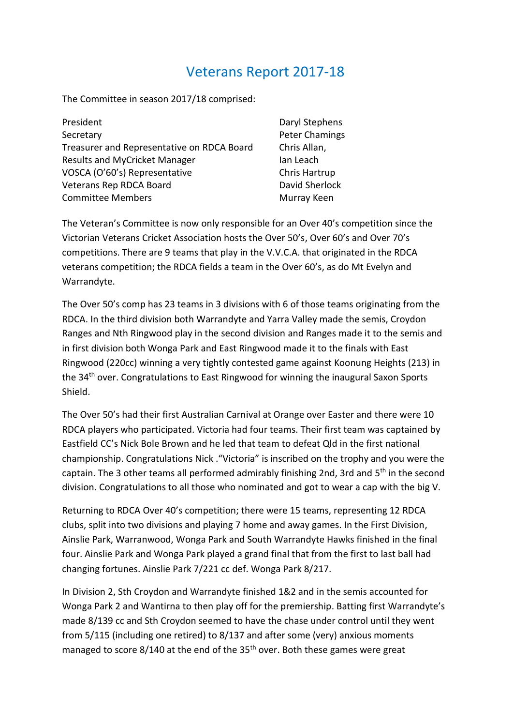## Veterans Report 2017-18

The Committee in season 2017/18 comprised:

| President                                  |  |
|--------------------------------------------|--|
| Secretary                                  |  |
| Treasurer and Representative on RDCA Board |  |
| <b>Results and MyCricket Manager</b>       |  |
| VOSCA (O'60's) Representative              |  |
| <b>Veterans Rep RDCA Board</b>             |  |
| <b>Committee Members</b>                   |  |

Daryl Stephens Peter Chamings Chris Allan, Ian Leach Chris Hartrup David Sherlock Murray Keen

The Veteran's Committee is now only responsible for an Over 40's competition since the Victorian Veterans Cricket Association hosts the Over 50's, Over 60's and Over 70's competitions. There are 9 teams that play in the V.V.C.A. that originated in the RDCA veterans competition; the RDCA fields a team in the Over 60's, as do Mt Evelyn and Warrandyte.

The Over 50's comp has 23 teams in 3 divisions with 6 of those teams originating from the RDCA. In the third division both Warrandyte and Yarra Valley made the semis, Croydon Ranges and Nth Ringwood play in the second division and Ranges made it to the semis and in first division both Wonga Park and East Ringwood made it to the finals with East Ringwood (220cc) winning a very tightly contested game against Koonung Heights (213) in the 34<sup>th</sup> over. Congratulations to East Ringwood for winning the inaugural Saxon Sports Shield.

The Over 50's had their first Australian Carnival at Orange over Easter and there were 10 RDCA players who participated. Victoria had four teams. Their first team was captained by Eastfield CC's Nick Bole Brown and he led that team to defeat Qld in the first national championship. Congratulations Nick ."Victoria" is inscribed on the trophy and you were the captain. The 3 other teams all performed admirably finishing 2nd, 3rd and 5<sup>th</sup> in the second division. Congratulations to all those who nominated and got to wear a cap with the big V.

Returning to RDCA Over 40's competition; there were 15 teams, representing 12 RDCA clubs, split into two divisions and playing 7 home and away games. In the First Division, Ainslie Park, Warranwood, Wonga Park and South Warrandyte Hawks finished in the final four. Ainslie Park and Wonga Park played a grand final that from the first to last ball had changing fortunes. Ainslie Park 7/221 cc def. Wonga Park 8/217.

In Division 2, Sth Croydon and Warrandyte finished 1&2 and in the semis accounted for Wonga Park 2 and Wantirna to then play off for the premiership. Batting first Warrandyte's made 8/139 cc and Sth Croydon seemed to have the chase under control until they went from 5/115 (including one retired) to 8/137 and after some (very) anxious moments managed to score 8/140 at the end of the 35<sup>th</sup> over. Both these games were great